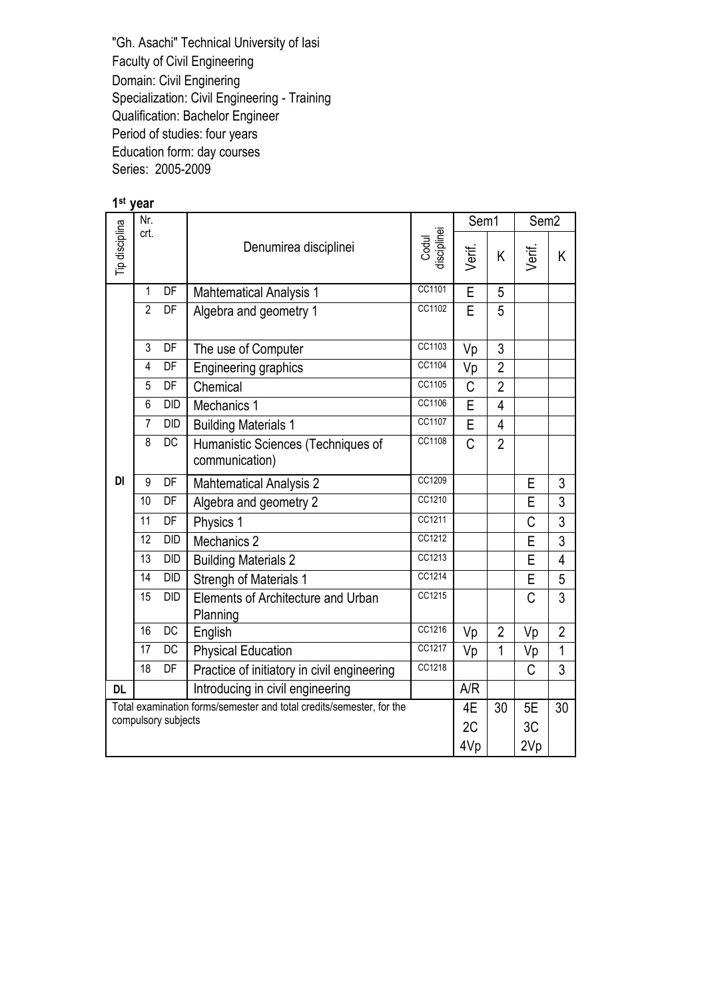## 1<sup>st</sup> year

| Nr.<br>crt.                                                          |                 |                 |                                                |                  | Sem1           |                | Sem <sub>2</sub> |                |  |  |
|----------------------------------------------------------------------|-----------------|-----------------|------------------------------------------------|------------------|----------------|----------------|------------------|----------------|--|--|
| Tip disciplina                                                       |                 |                 | Denumirea disciplinei                          | Verif.           | K.             | Verif.         | K.               |                |  |  |
|                                                                      | 1               | DF              | <b>Mahtematical Analysis 1</b>                 | Ē                | 5              |                |                  |                |  |  |
|                                                                      | $\overline{2}$  | DF              | Algebra and geometry 1                         | CC1102           |                |                |                  |                |  |  |
|                                                                      | 3               | DF              | The use of Computer                            | CC1103           | Vp             | 3              |                  |                |  |  |
|                                                                      | 4               | DF              | Engineering graphics                           | CC1104           | Vp             | $\overline{2}$ |                  |                |  |  |
|                                                                      | 5               | DF              | Chemical                                       | CC1105           | $\overline{C}$ | $\overline{2}$ |                  |                |  |  |
|                                                                      | 6               | <b>DID</b>      | Mechanics 1                                    | CC1106           | $\overline{E}$ | $\overline{4}$ |                  |                |  |  |
|                                                                      | $\overline{7}$  | DID             | <b>Building Materials 1</b>                    | CC1107           | E              | 4              |                  |                |  |  |
|                                                                      | 8               | <b>DC</b>       | Humanistic Sciences (Techniques of             | CC1108           | $\overline{C}$ | $\overline{2}$ |                  |                |  |  |
|                                                                      |                 |                 | communication)                                 |                  |                |                |                  |                |  |  |
| DI                                                                   | 9               | DF              | <b>Mahtematical Analysis 2</b>                 | CC1209           |                |                | E                | 3              |  |  |
|                                                                      | 10              | DF              | Algebra and geometry 2                         | CC1210           |                |                | E                | 3              |  |  |
|                                                                      | 11              | DF              | Physics 1                                      | CC1211<br>CC1212 |                |                | Ć                | 3              |  |  |
|                                                                      | 12              | <b>DID</b>      | Mechanics 2                                    |                  |                | E              | 3                |                |  |  |
|                                                                      | 13              | <b>DID</b>      | <b>Building Materials 2</b>                    | CC1213           |                |                | E                | 4              |  |  |
|                                                                      | 14              | DID             | <b>Strengh of Materials 1</b>                  | CC1214           |                |                | E                | 5              |  |  |
|                                                                      | 15              | <b>DID</b>      | Elements of Architecture and Urban<br>Planning | CC1215           |                |                | C                | 3              |  |  |
|                                                                      | 16              | DC              | English                                        | CC1216           | Vp             | $\overline{2}$ | Vp               | $\overline{2}$ |  |  |
|                                                                      | 17              | DC              | <b>Physical Education</b>                      | CC1217           | Vp             | $\mathbf 1$    | Vp               | 1              |  |  |
|                                                                      | $\overline{18}$ | $\overline{DF}$ | Practice of initiatory in civil engineering    | CC1218           |                |                | C                | 3              |  |  |
| <b>DL</b>                                                            |                 |                 | Introducing in civil engineering               |                  | A/R            |                |                  |                |  |  |
| Total examination forms/semester and total credits/semester, for the |                 |                 |                                                |                  |                | 30             | 5E               | 30             |  |  |
| compulsory subjects                                                  |                 |                 |                                                |                  |                |                | 3C               |                |  |  |
|                                                                      |                 |                 |                                                |                  | 4Vp            |                | 2Vp              |                |  |  |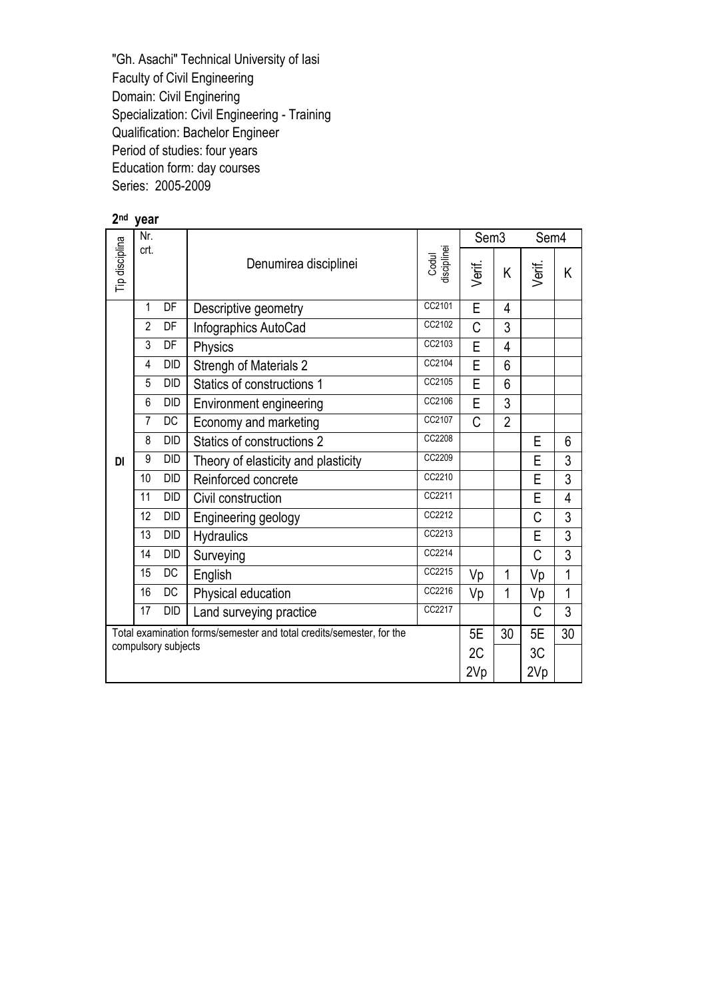| 2 <sub>nd</sub> | year                                                                 |            |                                     |                  |                  |                |        |                |
|-----------------|----------------------------------------------------------------------|------------|-------------------------------------|------------------|------------------|----------------|--------|----------------|
|                 | Nr.                                                                  |            |                                     |                  | Sem <sub>3</sub> |                | Sem4   |                |
| Tip disciplina  | crt.<br>Codul<br>disciplinei<br>Denumirea disciplinei                |            |                                     |                  |                  | Κ              | Verif. | K              |
|                 | 1                                                                    | DF         | Descriptive geometry                | CC2101           | E                | $\overline{4}$ |        |                |
|                 | $\overline{2}$                                                       | DF         | Infographics AutoCad                | CC2102           | Ć                | 3              |        |                |
|                 | 3                                                                    | DF         | Physics                             | CC2103           | Ē                | 4              |        |                |
|                 | $\overline{\mathbf{4}}$                                              | <b>DID</b> | <b>Strengh of Materials 2</b>       | CC2104           | Ē                | 6              |        |                |
|                 | 5                                                                    | <b>DID</b> | Statics of constructions 1          | CC2105<br>CC2106 | Ē<br>Ē           | 6              |        |                |
|                 | 6                                                                    | <b>DID</b> | Environment engineering             | 3                |                  |                |        |                |
|                 | $\overline{7}$                                                       | DC         | Economy and marketing               | CC2107           | C                | $\overline{2}$ |        |                |
|                 | 8                                                                    | <b>DID</b> | Statics of constructions 2          | CC2208           |                  |                | E      | 6              |
| DI              | 9                                                                    | <b>DID</b> | Theory of elasticity and plasticity | CC2209           |                  |                | E      | 3              |
|                 | 10                                                                   | <b>DID</b> | Reinforced concrete                 | CC2210           |                  |                | E      | $\overline{3}$ |
|                 | 11                                                                   | <b>DID</b> | Civil construction                  | CC2211           |                  |                | E      | 4              |
|                 | 12                                                                   | <b>DID</b> | Engineering geology                 | CC2212           |                  |                | C      | 3              |
|                 | 13                                                                   | DID        | <b>Hydraulics</b>                   | CC2213           |                  |                | E      | 3              |
|                 | 14                                                                   | <b>DID</b> | Surveying                           | CC2214           |                  |                | C      | $\overline{3}$ |
|                 | 15                                                                   | DC         | English                             | CC2215           | Vp               | 1              | Vp     | 1              |
|                 | 16                                                                   | <b>DC</b>  | Physical education                  | CC2216           | Vp               | $\mathbf{1}$   | Vp     | 1              |
|                 | 17                                                                   | DID        | Land surveying practice             | CC2217           |                  |                | C      | 3              |
|                 | Total examination forms/semester and total credits/semester, for the |            |                                     |                  |                  |                | 5E     | 30             |
|                 | compulsory subjects                                                  |            |                                     |                  |                  |                | 3C     |                |
|                 |                                                                      |            |                                     |                  | 2Vp              |                | 2Vp    |                |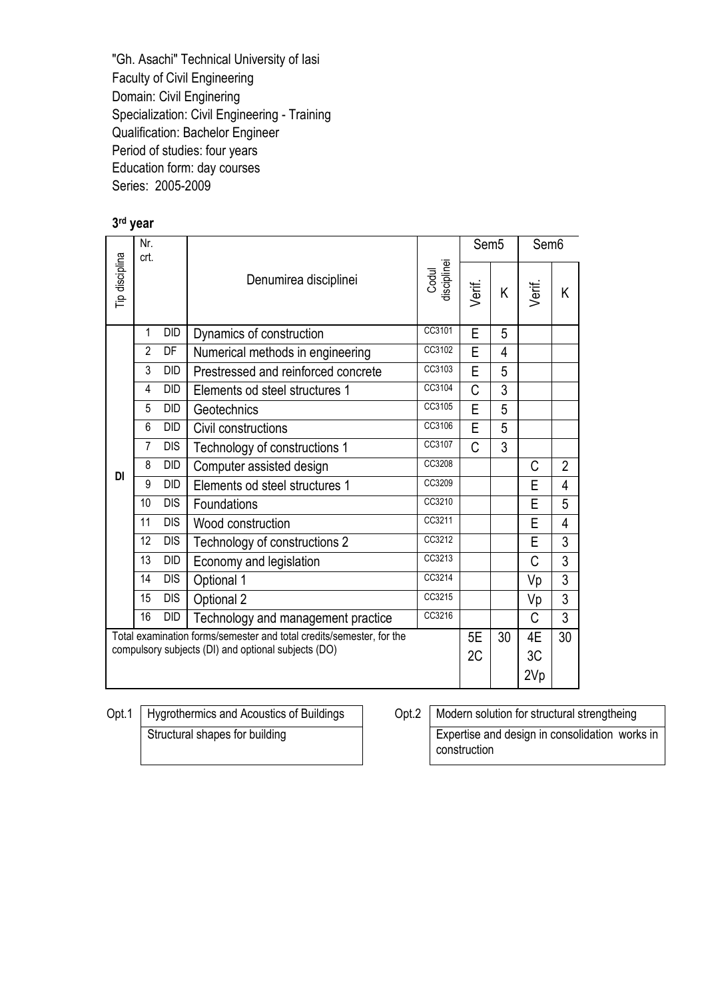## 3 rd year

|                | Nr.<br>crt.                                                                                                                 |            |                                     |                      | Sem <sub>5</sub> |   | Sem <sub>6</sub> |                |
|----------------|-----------------------------------------------------------------------------------------------------------------------------|------------|-------------------------------------|----------------------|------------------|---|------------------|----------------|
| Tip disciplina |                                                                                                                             |            | Denumirea disciplinei               | Codul<br>disciplinei | Verif.           | K | Verif.           | Κ              |
|                | $\mathbf{1}$                                                                                                                | DID        | Dynamics of construction            | CC3101               | E                | 5 |                  |                |
|                | $\overline{2}$                                                                                                              | DF         | Numerical methods in engineering    | CC3102               | E                | 4 |                  |                |
|                | $\overline{3}$                                                                                                              | DID        | Prestressed and reinforced concrete | CC3103               | E                | 5 |                  |                |
|                | 4                                                                                                                           | DID        | Elements od steel structures 1      | CC3104               | C                | 3 |                  |                |
|                | 5                                                                                                                           | DID        | Geotechnics                         | CC3105               | E                | 5 |                  |                |
|                | 6                                                                                                                           | DID        | Civil constructions                 | CC3106               | E                | 5 |                  |                |
|                | $\overline{7}$                                                                                                              | <b>DIS</b> | Technology of constructions 1       | CC3107               | C                | 3 |                  |                |
| DI             | 8                                                                                                                           | DID        | Computer assisted design            | CC3208               |                  |   | C                | $\overline{2}$ |
|                | 9                                                                                                                           | <b>DID</b> | Elements od steel structures 1      | CC3209               |                  |   | E                | 4              |
|                | 10                                                                                                                          | <b>DIS</b> | Foundations                         | CC3210               |                  |   | E                | 5              |
|                | 11                                                                                                                          | <b>DIS</b> | Wood construction                   | CC3211               |                  |   | E                | 4              |
|                | 12                                                                                                                          | <b>DIS</b> | Technology of constructions 2       | CC3212               |                  |   | E                | 3              |
|                | 13                                                                                                                          | DID        | Economy and legislation             | CC3213               |                  |   | C                | 3              |
|                | 14                                                                                                                          | <b>DIS</b> | Optional 1                          | CC3214               |                  |   | Vp               | 3              |
|                | 15                                                                                                                          | <b>DIS</b> | Optional 2                          | CC3215               |                  |   | Vp               | 3              |
|                | 16                                                                                                                          | DID        | Technology and management practice  | CC3216               |                  |   | C                | 3              |
|                | Total examination forms/semester and total credits/semester, for the<br>compulsory subjects (DI) and optional subjects (DO) |            |                                     |                      |                  |   | 4E<br>3C<br>2Vp  | 30             |

Opt.1 Hygrothermics and Acoustics of Buildings Opt.2 Modern solution for structural strengtheing Structural shapes for building Expertise and design in consolidation works in

construction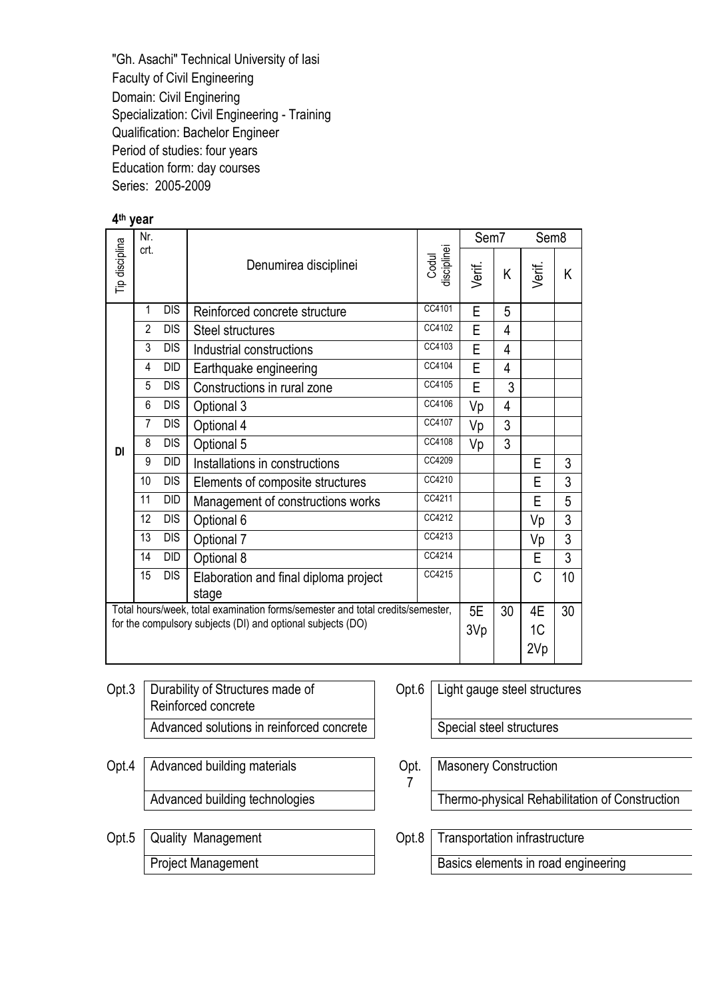| 4 <sup>th</sup> year |                                                                                |            |                                       |                      |        |    |                  |    |
|----------------------|--------------------------------------------------------------------------------|------------|---------------------------------------|----------------------|--------|----|------------------|----|
|                      | Nr.                                                                            |            |                                       |                      | Sem7   |    | Sem <sub>8</sub> |    |
| Tip disciplina       | crt.                                                                           |            | Denumirea disciplinei                 | Codul<br>disciplinei | Verif. | K  | Verif.           | Κ  |
|                      | 1                                                                              | <b>DIS</b> | Reinforced concrete structure         | CC4101               | E      | 5  |                  |    |
|                      | $\overline{2}$                                                                 | <b>DIS</b> | <b>Steel structures</b>               | CC4102               | E      | 4  |                  |    |
|                      | 3                                                                              | <b>DIS</b> | Industrial constructions              | CC4103               | E      | 4  |                  |    |
|                      | 4                                                                              | <b>DID</b> | Earthquake engineering                | CC4104               | E      | 4  |                  |    |
|                      | 5                                                                              | <b>DIS</b> | Constructions in rural zone           | CC4105               | E      | 3  |                  |    |
|                      | 6                                                                              | <b>DIS</b> | Optional 3                            | CC4106               | Vp     | 4  |                  |    |
|                      | $\overline{7}$                                                                 | <b>DIS</b> | Optional 4                            | CC4107               | Vp     | 3  |                  |    |
| DI                   | 8                                                                              | <b>DIS</b> | Optional 5                            | CC4108               | Vp     | 3  |                  |    |
|                      | 9                                                                              | DID        | Installations in constructions        | CC4209               |        |    | E                | 3  |
|                      | 10                                                                             | <b>DIS</b> | Elements of composite structures      | CC4210               |        |    | E                | 3  |
|                      | 11                                                                             | DID        | Management of constructions works     | CC4211               |        |    | Е                | 5  |
|                      | 12                                                                             | <b>DIS</b> | Optional 6                            | CC4212               |        |    | Vp               | 3  |
|                      | 13                                                                             | <b>DIS</b> | Optional 7                            | CC4213               |        |    | Vp               | 3  |
|                      | 14                                                                             | DID        | Optional 8                            | CC4214<br>CC4215     |        |    | E                | 3  |
|                      | 15                                                                             | <b>DIS</b> | Elaboration and final diploma project |                      |        | C  | 10               |    |
|                      |                                                                                |            | stage                                 |                      | 5E     |    |                  |    |
|                      | Total hours/week, total examination forms/semester and total credits/semester, |            |                                       |                      |        | 30 | 4E               | 30 |
|                      | for the compulsory subjects (DI) and optional subjects (DO)                    |            |                                       |                      |        |    | 1C               |    |
|                      |                                                                                |            |                                       |                      |        |    | 2Vp              |    |

- Opt.3 | Durability of Structures made of Reinforced concrete Advanced solutions in reinforced concrete | Special steel structures
- Opt.4 | Advanced building materials | Cpt.
- Opt.5 Quality Management Opt.8 Transportation infrastructure Project Management **Basics** elements in road engineering

Opt.6 Light gauge steel structures

Masonery Construction

7

Advanced building technologies Thermo-physical Rehabilitation of Construction